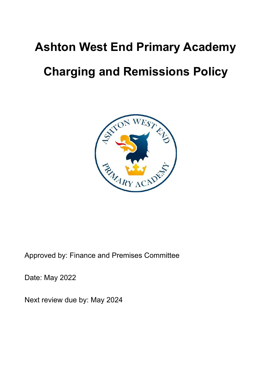# **Ashton West End Primary Academy**

# **Charging and Remissions Policy**



Approved by: Finance and Premises Committee

Date: May 2022

Next review due by: May 2024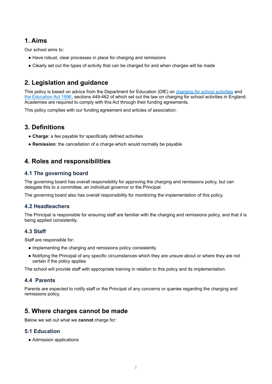# **1. Aims**

Our school aims to:

- Have robust, clear processes in place for charging and remissions
- Clearly set out the types of activity that can be charged for and when charges will be made

# **2. Legislation and guidance**

This policy is based on advice from the Department for Education (DfE) on charging for school [activities](https://www.gov.uk/government/publications/charging-for-school-activities) and the [Education](http://www.legislation.gov.uk/ukpga/1996/56/part/VI/chapter/III) Act 1996, sections 449-462 of which set out the law on charging for school activities in England. Academies are required to comply with this Act through their funding agreements.

This policy complies with our funding agreement and articles of association.

# **3. Definitions**

- **Charge**: a fee payable for specifically defined activities
- **Remission**: the cancellation of a charge which would normally be payable

# **4. Roles and responsibilities**

### **4.1 The governing board**

The governing board has overall responsibility for approving the charging and remissions policy, but can delegate this to a committee, an individual governor or the Principal.

The governing board also has overall responsibility for monitoring the implementation of this policy.

## **4.2 Headteachers**

The Principal is responsible for ensuring staff are familiar with the charging and remissions policy, and that it is being applied consistently.

## **4.3 Staff**

Staff are responsible for:

- Implementing the charging and remissions policy consistently
- Notifying the Principal of any specific circumstances which they are unsure about or where they are not certain if the policy applies

The school will provide staff with appropriate training in relation to this policy and its implementation.

## **4.4 Parents**

Parents are expected to notify staff or the Principal of any concerns or queries regarding the charging and remissions policy.

## **5. Where charges cannot be made**

Below we set out what we **cannot** charge for:

## **5.1 Education**

● Admission applications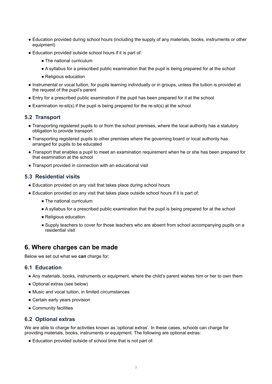- Education provided during school hours (including the supply of any materials, books, instruments or other equipment)
- Education provided outside school hours if it is part of:
	- The national curriculum
	- A syllabus for a prescribed public examination that the pupil is being prepared for at the school
	- Religious education
- Instrumental or vocal tuition, for pupils learning individually or in groups, unless the tuition is provided at the request of the pupil's parent
- Entry for a prescribed public examination if the pupil has been prepared for it at the school
- Examination re-sit(s) if the pupil is being prepared for the re-sit(s) at the school

#### **5.2 Transport**

- Transporting registered pupils to or from the school premises, where the local authority has a statutory obligation to provide transport
- Transporting registered pupils to other premises where the governing board or local authority has arranged for pupils to be educated
- Transport that enables a pupil to meet an examination requirement when he or she has been prepared for that examination at the school
- Transport provided in connection with an educational visit

#### **5.3 Residential visits**

- Education provided on any visit that takes place during school hours
- Education provided on any visit that takes place outside school hours if it is part of:
	- The national curriculum
	- A syllabus for a prescribed public examination that the pupil is being prepared for at the school
	- Religious education
	- Supply teachers to cover for those teachers who are absent from school accompanying pupils on a residential visit

## **6. Where charges can be made**

Below we set out what we **can** charge for:

#### **6.1 Education**

- Any materials, books, instruments or equipment, where the child's parent wishes him or her to own them
- Optional extras (see below)
- Music and vocal tuition, in limited circumstances
- Certain early years provision
- Community facilities

#### **6.2 Optional extras**

We are able to charge for activities known as 'optional extras'. In these cases, schools can charge for providing materials, books, instruments or equipment. The following are optional extras:

● Education provided outside of school time that is not part of: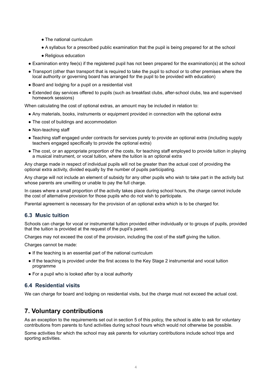- The national curriculum
- A syllabus for a prescribed public examination that the pupil is being prepared for at the school
- Religious education
- Examination entry fee(s) if the registered pupil has not been prepared for the examination(s) at the school
- Transport (other than transport that is required to take the pupil to school or to other premises where the local authority or governing board has arranged for the pupil to be provided with education)
- Board and lodging for a pupil on a residential visit
- Extended day services offered to pupils (such as breakfast clubs, after-school clubs, tea and supervised homework sessions)

When calculating the cost of optional extras, an amount may be included in relation to:

- Any materials, books, instruments or equipment provided in connection with the optional extra
- The cost of buildings and accommodation
- Non-teaching staff
- Teaching staff engaged under contracts for services purely to provide an optional extra (including supply teachers engaged specifically to provide the optional extra)
- The cost, or an appropriate proportion of the costs, for teaching staff employed to provide tuition in playing a musical instrument, or vocal tuition, where the tuition is an optional extra

Any charge made in respect of individual pupils will not be greater than the actual cost of providing the optional extra activity, divided equally by the number of pupils participating.

Any charge will not include an element of subsidy for any other pupils who wish to take part in the activity but whose parents are unwilling or unable to pay the full charge.

In cases where a small proportion of the activity takes place during school hours, the charge cannot include the cost of alternative provision for those pupils who do not wish to participate.

Parental agreement is necessary for the provision of an optional extra which is to be charged for.

#### **6.3 Music tuition**

Schools can charge for vocal or instrumental tuition provided either individually or to groups of pupils, provided that the tuition is provided at the request of the pupil's parent.

Charges may not exceed the cost of the provision, including the cost of the staff giving the tuition.

Charges cannot be made:

- If the teaching is an essential part of the national curriculum
- If the teaching is provided under the first access to the Key Stage 2 instrumental and vocal tuition programme
- For a pupil who is looked after by a local authority

## **6.4 Residential visits**

We can charge for board and lodging on residential visits, but the charge must not exceed the actual cost.

# **7. Voluntary contributions**

As an exception to the requirements set out in section 5 of this policy, the school is able to ask for voluntary contributions from parents to fund activities during school hours which would not otherwise be possible.

Some activities for which the school may ask parents for voluntary contributions include school trips and sporting activities.